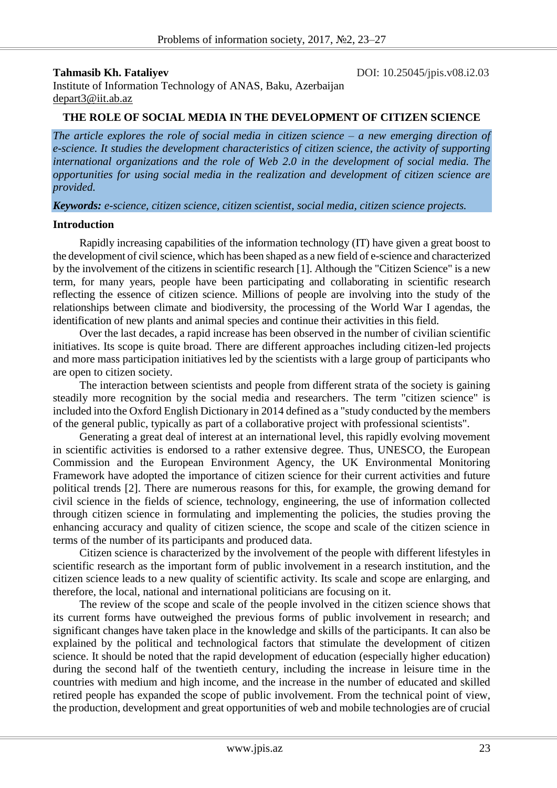**Tahmasib Kh. Fataliyev DOI:** 10.25045/jpis.v08.i2.03

Institute of Information Technology of ANAS, Baku, Azerbaijan depart3@iit.ab.az

#### **THE ROLE OF SOCIAL MEDIA IN THE DEVELOPMENT OF CITIZEN SCIENCE**

*The article explores the role of social media in citizen science – a new emerging direction of e-science. It studies the development characteristics of citizen science, the activity of supporting international organizations and the role of Web 2.0 in the development of social media. The opportunities for using social media in the realization and development of citizen science are provided.*

*Keywords: e-science, citizen science, citizen scientist, social media, citizen science projects.*

## **Introduction**

Rapidly increasing capabilities of the information technology (IT) have given a great boost to the development of civil science, which has been shaped as a new field of e-science and characterized by the involvement of the citizens in scientific research [1]. Although the "Citizen Science" is a new term, for many years, people have been participating and collaborating in scientific research reflecting the essence of citizen science. Millions of people are involving into the study of the relationships between climate and biodiversity, the processing of the World War I agendas, the identification of new plants and animal species and continue their activities in this field.

Over the last decades, a rapid increase has been observed in the number of civilian scientific initiatives. Its scope is quite broad. There are different approaches including citizen-led projects and more mass participation initiatives led by the scientists with a large group of participants who are open to citizen society.

The interaction between scientists and people from different strata of the society is gaining steadily more recognition by the social media and researchers. The term "citizen science" is included into the Oxford English Dictionary in 2014 defined as a "study conducted by the members of the general public, typically as part of a collaborative project with professional scientists".

Generating a great deal of interest at an international level, this rapidly evolving movement in scientific activities is endorsed to a rather extensive degree. Thus, UNESCO, the European Commission and the European Environment Agency, the UK Environmental Monitoring Framework have adopted the importance of citizen science for their current activities and future political trends [2]. There are numerous reasons for this, for example, the growing demand for civil science in the fields of science, technology, engineering, the use of information collected through citizen science in formulating and implementing the policies, the studies proving the enhancing accuracy and quality of citizen science, the scope and scale of the citizen science in terms of the number of its participants and produced data.

Citizen science is characterized by the involvement of the people with different lifestyles in scientific research as the important form of public involvement in a research institution, and the citizen science leads to a new quality of scientific activity. Its scale and scope are enlarging, and therefore, the local, national and international politicians are focusing on it.

The review of the scope and scale of the people involved in the citizen science shows that its current forms have outweighed the previous forms of public involvement in research; and significant changes have taken place in the knowledge and skills of the participants. It can also be explained by the political and technological factors that stimulate the development of citizen science. It should be noted that the rapid development of education (especially higher education) during the second half of the twentieth century, including the increase in leisure time in the countries with medium and high income, and the increase in the number of educated and skilled retired people has expanded the scope of public involvement. From the technical point of view, the production, development and great opportunities of web and mobile technologies are of crucial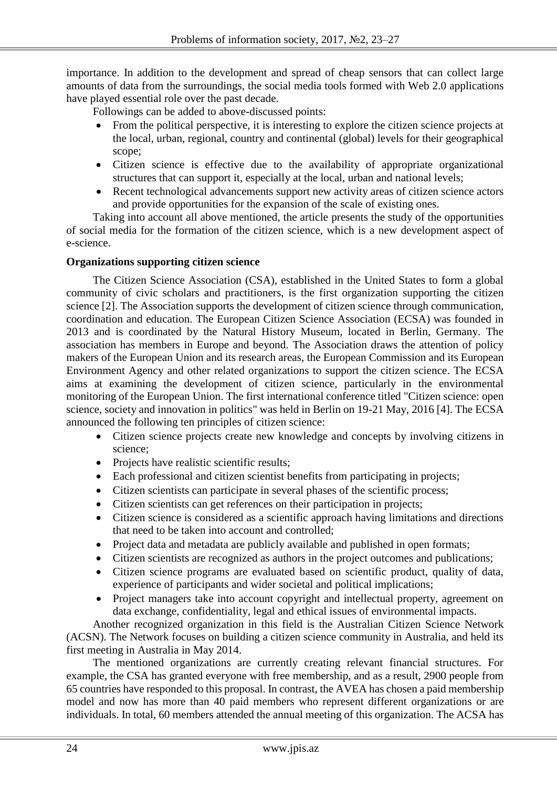importance. In addition to the development and spread of cheap sensors that can collect large amounts of data from the surroundings, the social media tools formed with Web 2.0 applications have played essential role over the past decade.

Followings can be added to above-discussed points:

- From the political perspective, it is interesting to explore the citizen science projects at the local, urban, regional, country and continental (global) levels for their geographical scope;
- Citizen science is effective due to the availability of appropriate organizational structures that can support it, especially at the local, urban and national levels;
- Recent technological advancements support new activity areas of citizen science actors and provide opportunities for the expansion of the scale of existing ones.

Taking into account all above mentioned, the article presents the study of the opportunities of social media for the formation of the citizen science, which is a new development aspect of e-science.

## **Organizations supporting citizen science**

The Citizen Science Association (CSA), established in the United States to form a global community of civic scholars and practitioners, is the first organization supporting the citizen science [2]. The Association supports the development of citizen science through communication, coordination and education. The European Citizen Science Association (ECSA) was founded in 2013 and is coordinated by the Natural History Museum, located in Berlin, Germany. The association has members in Europe and beyond. The Association draws the attention of policy makers of the European Union and its research areas, the European Commission and its European Environment Agency and other related organizations to support the citizen science. The ECSA aims at examining the development of citizen science, particularly in the environmental monitoring of the European Union. The first international conference titled "Citizen science: open science, society and innovation in politics" was held in Berlin on 19-21 May, 2016 [4]. The ECSA announced the following ten principles of citizen science:

- Citizen science projects create new knowledge and concepts by involving citizens in science;
- Projects have realistic scientific results;
- Each professional and citizen scientist benefits from participating in projects;
- Citizen scientists can participate in several phases of the scientific process;
- Citizen scientists can get references on their participation in projects;
- Citizen science is considered as a scientific approach having limitations and directions that need to be taken into account and controlled;
- Project data and metadata are publicly available and published in open formats;
- Citizen scientists are recognized as authors in the project outcomes and publications;
- Citizen science programs are evaluated based on scientific product, quality of data, experience of participants and wider societal and political implications;
- Project managers take into account copyright and intellectual property, agreement on data exchange, confidentiality, legal and ethical issues of environmental impacts.

Another recognized organization in this field is the Australian Citizen Science Network (ACSN). The Network focuses on building a citizen science community in Australia, and held its first meeting in Australia in May 2014.

The mentioned organizations are currently creating relevant financial structures. For example, the CSA has granted everyone with free membership, and as a result, 2900 people from 65 countries have responded to this proposal. In contrast, the AVEA has chosen a paid membership model and now has more than 40 paid members who represent different organizations or are individuals. In total, 60 members attended the annual meeting of this organization. The ACSA has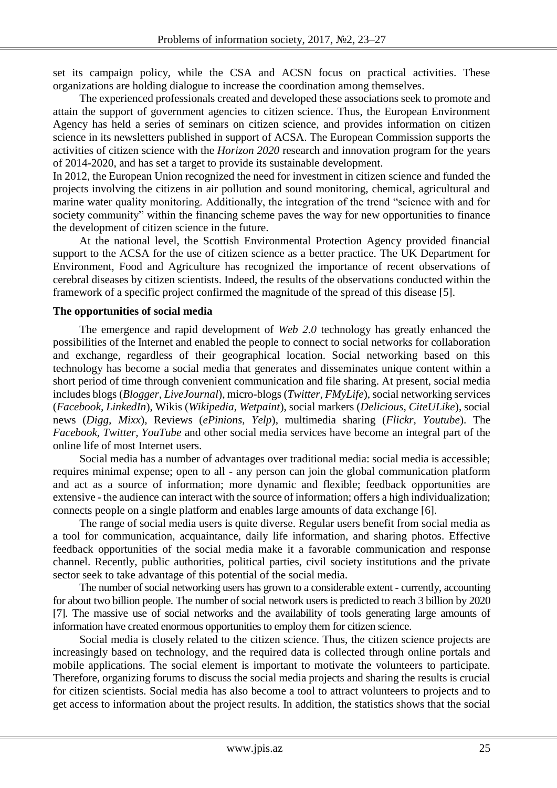set its campaign policy, while the CSA and ACSN focus on practical activities. These organizations are holding dialogue to increase the coordination among themselves.

The experienced professionals created and developed these associations seek to promote and attain the support of government agencies to citizen science. Thus, the European Environment Agency has held a series of seminars on citizen science, and provides information on citizen science in its newsletters published in support of ACSA. The European Commission supports the activities of citizen science with the *Horizon 2020* research and innovation program for the years of 2014-2020, and has set a target to provide its sustainable development.

In 2012, the European Union recognized the need for investment in citizen science and funded the projects involving the citizens in air pollution and sound monitoring, chemical, agricultural and marine water quality monitoring. Additionally, the integration of the trend "science with and for society community" within the financing scheme paves the way for new opportunities to finance the development of citizen science in the future.

At the national level, the Scottish Environmental Protection Agency provided financial support to the ACSA for the use of citizen science as a better practice. The UK Department for Environment, Food and Agriculture has recognized the importance of recent observations of cerebral diseases by citizen scientists. Indeed, the results of the observations conducted within the framework of a specific project confirmed the magnitude of the spread of this disease [5].

## **The opportunities of social media**

The emergence and rapid development of *Web 2.0* technology has greatly enhanced the possibilities of the Internet and enabled the people to connect to social networks for collaboration and exchange, regardless of their geographical location. Social networking based on this technology has become a social media that generates and disseminates unique content within a short period of time through convenient communication and file sharing. At present, social media includes blogs (*Blogger, LiveJournal*), micro-blogs (*Twitter, FMyLife*), social networking services (*Facebook, LinkedIn*), Wikis (*Wikipedia, Wetpaint*), social markers (*Delicious, CiteULike*), social news (*Digg, Mixx*), Reviews (*ePinions, Yelp*), multimedia sharing (*Flickr, Youtube*). The *Facebook, Twitter, YouTube* and other social media services have become an integral part of the online life of most Internet users.

Social media has a number of advantages over traditional media: social media is accessible; requires minimal expense; open to all - any person can join the global communication platform and act as a source of information; more dynamic and flexible; feedback opportunities are extensive - the audience can interact with the source of information; offers a high individualization; connects people on a single platform and enables large amounts of data exchange [6].

The range of social media users is quite diverse. Regular users benefit from social media as a tool for communication, acquaintance, daily life information, and sharing photos. Effective feedback opportunities of the social media make it a favorable communication and response channel. Recently, public authorities, political parties, civil society institutions and the private sector seek to take advantage of this potential of the social media.

The number of social networking users has grown to a considerable extent - currently, accounting for about two billion people. The number of social network users is predicted to reach 3 billion by 2020 [7]. The massive use of social networks and the availability of tools generating large amounts of information have created enormous opportunities to employ them for citizen science.

Social media is closely related to the citizen science. Thus, the citizen science projects are increasingly based on technology, and the required data is collected through online portals and mobile applications. The social element is important to motivate the volunteers to participate. Therefore, organizing forums to discuss the social media projects and sharing the results is crucial for citizen scientists. Social media has also become a tool to attract volunteers to projects and to get access to information about the project results. In addition, the statistics shows that the social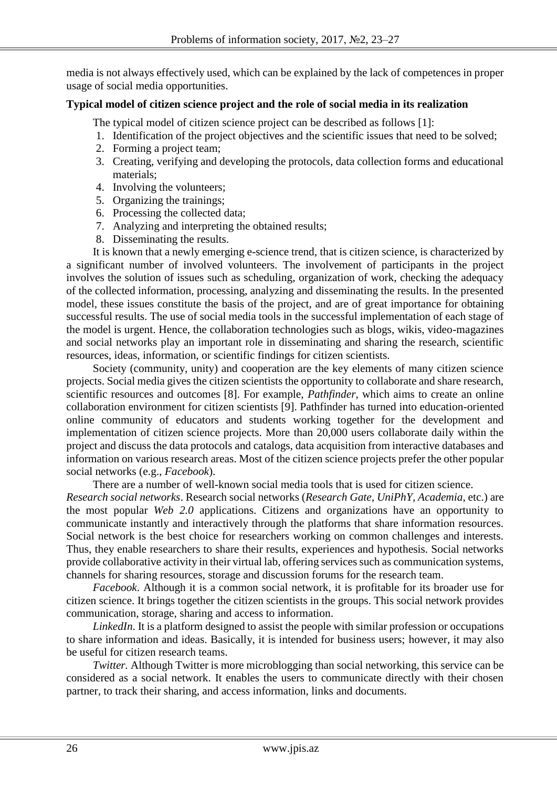media is not always effectively used, which can be explained by the lack of competences in proper usage of social media opportunities.

## **Typical model of citizen science project and the role of social media in its realization**

The typical model of citizen science project can be described as follows [1]:

- 1. Identification of the project objectives and the scientific issues that need to be solved;
- 2. Forming a project team;
- 3. Creating, verifying and developing the protocols, data collection forms and educational materials;
- 4. Involving the volunteers;
- 5. Organizing the trainings;
- 6. Processing the collected data;
- 7. Analyzing and interpreting the obtained results;
- 8. Disseminating the results.

It is known that a newly emerging e-science trend, that is citizen science, is characterized by a significant number of involved volunteers. The involvement of participants in the project involves the solution of issues such as scheduling, organization of work, checking the adequacy of the collected information, processing, analyzing and disseminating the results. In the presented model, these issues constitute the basis of the project, and are of great importance for obtaining successful results. The use of social media tools in the successful implementation of each stage of the model is urgent. Hence, the collaboration technologies such as blogs, wikis, video-magazines and social networks play an important role in disseminating and sharing the research, scientific resources, ideas, information, or scientific findings for citizen scientists.

Society (community, unity) and cooperation are the key elements of many citizen science projects. Social media gives the citizen scientists the opportunity to collaborate and share research, scientific resources and outcomes [8]. For example, *Pathfinder*, which aims to create an online collaboration environment for citizen scientists [9]. Pathfinder has turned into education-oriented online community of educators and students working together for the development and implementation of citizen science projects. More than 20,000 users collaborate daily within the project and discuss the data protocols and catalogs, data acquisition from interactive databases and information on various research areas. Most of the citizen science projects prefer the other popular social networks (e.g., *Facebook*).

There are a number of well-known social media tools that is used for citizen science.

*Research social networks*. Research social networks (*Research Gate, UniPhY, Academia*, etc.) are the most popular *Web 2.0* applications. Citizens and organizations have an opportunity to communicate instantly and interactively through the platforms that share information resources. Social network is the best choice for researchers working on common challenges and interests. Thus, they enable researchers to share their results, experiences and hypothesis. Social networks provide collaborative activity in their virtual lab, offering services such as communication systems, channels for sharing resources, storage and discussion forums for the research team.

*Facebook*. Although it is a common social network, it is profitable for its broader use for citizen science. It brings together the citizen scientists in the groups. This social network provides communication, storage, sharing and access to information.

*LinkedIn*. It is a platform designed to assist the people with similar profession or occupations to share information and ideas. Basically, it is intended for business users; however, it may also be useful for citizen research teams.

*Twitter.* Although Twitter is more microblogging than social networking, this service can be considered as a social network. It enables the users to communicate directly with their chosen partner, to track their sharing, and access information, links and documents.